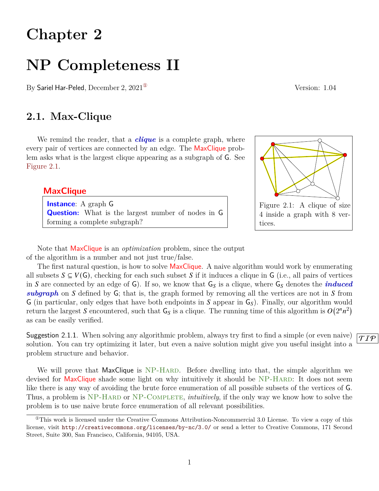# **Chapter 2**

# **NP Completeness II**

By Sariel Har-Peled, December 2,  $2021^{\circ}$  Version: 1.04

# **2.1. Max-Clique**

We remind the reader, that a *clique* is a complete graph, where every pair of vertices are connected by an edge. The MaxClique problem asks what is the largest clique appearing as a subgraph of G. See [Figure 2.1.](#page-0-1)

## **MaxClique**

**Instance**: A graph G **Question:** What is the largest number of nodes in G forming a complete subgraph?

Note that MaxClique is an *optimization* problem, since the output of the algorithm is a number and not just true/false.

The first natural question, is how to solve **MaxClique**. A naive algorithm would work by enumerating all subsets  $S \subseteq V(G)$ , checking for each such subset S if it induces a clique in G (i.e., all pairs of vertices in S are connected by an edge of  $G$ ). If so, we know that  $G_S$  is a clique, where  $G_S$  denotes the *induced*  $subgraph$  on  $S$  defined by  $G$ ; that is, the graph formed by removing all the vertices are not in  $S$  from G (in particular, only edges that have both endpoints in S appear in  $G<sub>S</sub>$ ). Finally, our algorithm would return the largest S encountered, such that  $G_S$  is a clique. The running time of this algorithm is  $O(2^n n^2)$ as can be easily verified.

Suggestion 2.1.1. When solving any algorithmic problem, always try first to find a simple (or even naive)  $\sqrt{\tau \rho}$ solution. You can try optimizing it later, but even a naive solution might give you useful insight into a problem structure and behavior.

We will prove that MaxClique is NP-HARD. Before dwelling into that, the simple algorithm we devised for MaxClique shade some light on why intuitively it should be NP-HARD: It does not seem like there is any way of avoiding the brute force enumeration of all possible subsets of the vertices of G. Thus, a problem is NP-HARD or NP-COMPLETE, *intuitively*, if the only way we know how to solve the problem is to use naive brute force enumeration of all relevant possibilities.

1

<span id="page-0-1"></span>

<span id="page-0-0"></span> $^{\circ}$ This work is licensed under the Creative Commons Attribution-Noncommercial 3.0 License. To view a copy of this license, visit <http://creativecommons.org/licenses/by-nc/3.0/> or send a letter to Creative Commons, 171 Second Street, Suite 300, San Francisco, California, 94105, USA.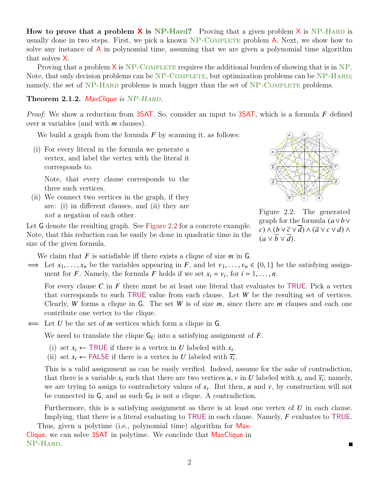**How to prove that a problem**  $\boldsymbol{\chi}$  **is NP-Hard?** Proving that a given problem  $\boldsymbol{\chi}$  is NP-HARD is usually done in two steps. First, we pick a known  $NP$ -COMPLETE problem A. Next, we show how to solve any instance of  $\overline{A}$  in polynomial time, assuming that we are given a polynomial time algorithm that solves  $X$ .

Proving that a problem  $X$  is NP-COMPLETE requires the additional burden of showing that is in NP. Note, that only decision problems can be NP-COMPLETE, but optimization problems can be NP-HARD; namely, the set of NP-HARD problems is much bigger than the set of NP-COMPLETE problems.

### <span id="page-1-1"></span>Theorem 2.1.2. MaxClique *is* NP-HARD.

*Proof:* We show a reduction from 3SAT. So, consider an input to 3SAT, which is a formula  $F$  defined over *n* variables (and with *m* clauses).

We build a graph from the formula  $F$  by scanning it, as follows:

(i) For every literal in the formula we generate a vertex, and label the vertex with the literal it corresponds to.

Note, that every clause corresponds to the three such vertices.

(ii) We connect two vertices in the graph, if they are: (i) in different clauses, and (ii) they are *not* a negation of each other.

<span id="page-1-0"></span>

Figure 2.2: The generated graph for the formula  $(a \vee b \vee$  $(c) \wedge (b \vee \overline{c} \vee d) \wedge (\overline{a} \vee c \vee d) \wedge$  $(a \vee \overline{b} \vee \overline{d}).$ 

П

Let G denote the resulting graph. See [Figure 2.2](#page-1-0) for a concrete example. Note, that this reduction can be easily be done in quadratic time in the size of the given formula.

We claim that  $F$  is satisfiable iff there exists a clique of size  $m$  in  $G$ .

 $\implies$  Let  $x_1, \ldots, x_n$  be the variables appearing in F, and let  $v_1, \ldots, v_n \in \{0, 1\}$  be the satisfying assignment for F. Namely, the formula F holds if we set  $x_i = v_i$ , for  $i = 1, ..., n$ .

For every clause  $C$  in  $F$  there must be at least one literal that evaluates to TRUE. Pick a vertex that corresponds to such TRUE value from each clause. Let  $W$  be the resulting set of vertices. Clearly, W forms a clique in G. The set W is of size  $m$ , since there are  $m$  clauses and each one contribute one vertex to the clique.

 $\Leftarrow$  Let U be the set of *m* vertices which form a clique in G.

We need to translate the clique  $G_U$  into a satisfying assignment of F.

- (i) set  $x_i \leftarrow \text{TRUE}$  if there is a vertex in U labeled with  $x_i$ .
- (ii) set  $x_i \leftarrow \text{FALSE if there is a vertex in } U \text{ labeled with } \overline{x_i}$ .

This is a valid assignment as can be easily verified. Indeed, assume for the sake of contradiction, that there is a variable  $x_i$  such that there are two vertices  $u, v$  in U labeled with  $x_i$  and  $\overline{x_i}$ ; namely, we are trying to assign to contradictory values of  $x_i$ . But then,  $u$  and  $v$ , by construction will not be connected in  $G$ , and as such  $G<sub>S</sub>$  is not a clique. A contradiction.

Furthermore, this is a satisfying assignment as there is at least one vertex of  $U$  in each clause. Implying, that there is a literal evaluating to TRUE in each clause. Namely,  $F$  evaluates to TRUE.

Thus, given a polytime (i.e., polynomial time) algorithm for Max-Clique, we can solve 3SAT in polytime. We conclude that MaxClique in NP-Hard.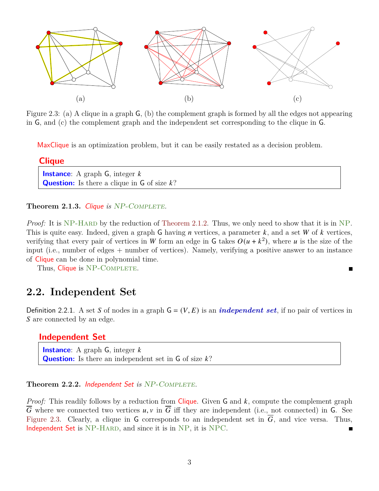<span id="page-2-0"></span>

Figure 2.3: (a) A clique in a graph G, (b) the complement graph is formed by all the edges not appearing in G, and (c) the complement graph and the independent set corresponding to the clique in G.

MaxClique is an optimization problem, but it can be easily restated as a decision problem.

| <b>Clique</b>                                                    |  |
|------------------------------------------------------------------|--|
| <b>Instance:</b> A graph $G$ , integer $k$                       |  |
| <b>Question:</b> Is there a clique in $\mathsf{G}$ of size $k$ ? |  |

Theorem 2.1.3. Clique *is* NP-COMPLETE.

*Proof:* It is NP-HARD by the reduction of [Theorem 2.1.2.](#page-1-1) Thus, we only need to show that it is in NP. This is quite easy. Indeed, given a graph G having  $n$  vertices, a parameter  $k$ , and a set  $W$  of  $k$  vertices, verifying that every pair of vertices in W form an edge in G takes  $O(u + k^2)$ , where u is the size of the input (i.e., number of edges + number of vertices). Namely, verifying a positive answer to an instance of Clique can be done in polynomial time.

 $\blacksquare$ 

Thus, Clique is NP-COMPLETE.

# **2.2. Independent Set**

Definition 2.2.1. A set S of nodes in a graph  $G = (V, E)$  is an *independent set*, if no pair of vertices in S are connected by an edge.

## **Independent Set**

**Instance:** A graph G, integer k **Question:** Is there an independent set in  $\mathsf{G}$  of size  $k$ ?

#### **Theorem 2.2.2.** Independent Set is NP-COMPLETE.

*Proof:* This readily follows by a reduction from Clique. Given G and  $k$ , compute the complement graph  $\overline{G}$  where we connected two vertices  $u, v$  in  $\overline{G}$  iff they are independent (i.e., not connected) in G. See [Figure 2.3.](#page-2-0) Clearly, a clique in G corresponds to an independent set in  $\overline{G}$ , and vice versa. Thus, Independent Set is NP-HARD, and since it is in NP, it is NPC.  $\blacksquare$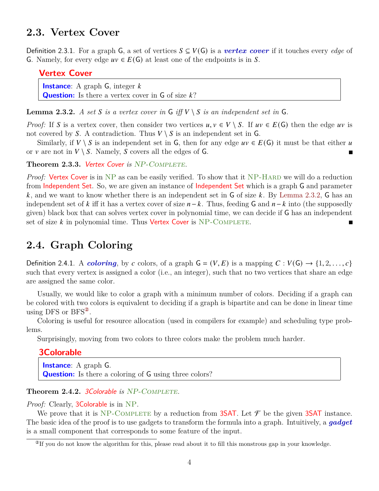## **2.3. Vertex Cover**

Definition 2.3.1. For a graph G, a set of vertices  $S \subseteq V(G)$  is a *vertex cover* if it touches every *edge* of G. Namely, for every edge  $uv \in E(G)$  at least one of the endpoints is in S.

## **Vertex Cover**

**Instance:** A graph G, integer k **Question:** Is there a vertex cover in  $\mathsf{G}$  of size  $k$ ?

<span id="page-3-0"></span>**Lemma 2.3.2.** *A set*  $S$  *is a vertex cover in*  $G$  *iff*  $V \setminus S$  *is an independent set in*  $G$ *.* 

*Proof:* If S is a vertex cover, then consider two vertices  $u, v \in V \setminus S$ . If  $uv \in E(G)$  then the edge uv is not covered by S. A contradiction. Thus  $V \setminus S$  is an independent set in G.

Similarly, if  $V \setminus S$  is an independent set in G, then for any edge  $uv \in E(G)$  it must be that either u or v are not in  $V \setminus S$ . Namely, S covers all the edges of G.

Theorem 2.3.3. Vertex Cover *is* NP-COMPLETE.

*Proof:* Vertex Cover is in NP as can be easily verified. To show that it NP-HARD we will do a reduction from Independent Set. So, we are given an instance of Independent Set which is a graph G and parameter k, and we want to know whether there is an independent set in  $\overline{G}$  of size k. By [Lemma 2.3.2,](#page-3-0)  $\overline{G}$  has an independent set of k iff it has a vertex cover of size  $n-k$ . Thus, feeding G and  $n-k$  into (the supposedly given) black box that can solves vertex cover in polynomial time, we can decide if G has an independent set of size  $k$  in polynomial time. Thus Vertex Cover is NP-COMPLETE.

## **2.4. Graph Coloring**

Definition 2.4.1. A *coloring*, by c colors, of a graph  $G = (V, E)$  is a mapping  $C : V(G) \rightarrow \{1, 2, ..., c\}$ such that every vertex is assigned a color (i.e., an integer), such that no two vertices that share an edge are assigned the same color.

Usually, we would like to color a graph with a minimum number of colors. Deciding if a graph can be colored with two colors is equivalent to deciding if a graph is bipartite and can be done in linear time using DFS or  $BFS^2$ .

Coloring is useful for resource allocation (used in compilers for example) and scheduling type problems.

Surprisingly, moving from two colors to three colors make the problem much harder.

### **3Colorable**

**Instance**: A graph G. **Question:** Is there a coloring of G using three colors?

#### Theorem 2.4.2. 3Colorable *is* NP-COMPLETE.

*Proof:* Clearly, **3Colorable** is in NP.

We prove that it is NP-COMPLETE by a reduction from 3SAT. Let  $\mathcal F$  be the given 3SAT instance. The basic idea of the proof is to use gadgets to transform the formula into a graph. Intuitively, a *gadget* is a small component that corresponds to some feature of the input.

<span id="page-3-1"></span> $^{\circ}$ If you do not know the algorithm for this, please read about it to fill this monstrous gap in your knowledge.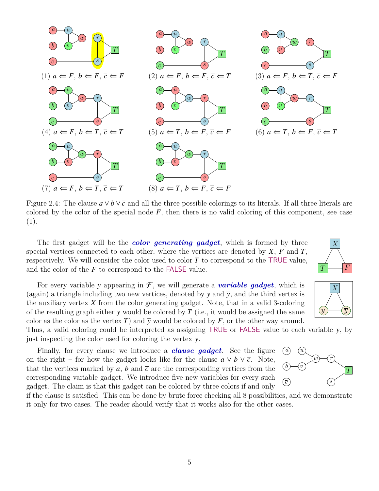

Figure 2.4: The clause  $a \vee b \vee \overline{c}$  and all the three possible colorings to its literals. If all three literals are colored by the color of the special node  $F$ , then there is no valid coloring of this component, see case (1).

The first gadget will be the *color generating gadget*, which is formed by three special vertices connected to each other, where the vertices are denoted by  $X$ ,  $F$  and  $T$ , respectively. We will consider the color used to color  $T$  to correspond to the TRUE value, and the color of the  $F$  to correspond to the FALSE value.

For every variable y appearing in  $\mathcal{F}$ , we will generate a *variable gadget*, which is (again) a triangle including two new vertices, denoted by y and  $\bar{y}$ , and the third vertex is the auxiliary vertex  $X$  from the color generating gadget. Note, that in a valid 3-coloring of the resulting graph either  $\gamma$  would be colored by  $T$  (i.e., it would be assigned the same color as the color as the vertex T) and  $\overline{y}$  would be colored by F, or the other way around.

Thus, a valid coloring could be interpreted as assigning TRUE or FALSE value to each variable y, by just inspecting the color used for coloring the vertex y.

Finally, for every clause we introduce a *clause gadget*. See the figure on the right – for how the gadget looks like for the clause  $a \vee b \vee \overline{c}$ . Note, that the vertices marked by a, b and  $\bar{c}$  are the corresponding vertices from the corresponding variable gadget. We introduce five new variables for every such gadget. The claim is that this gadget can be colored by three colors if and only



if the clause is satisfied. This can be done by brute force checking all 8 possibilities, and we demonstrate it only for two cases. The reader should verify that it works also for the other cases.



 $y \rightarrow y$ 

 $\,X\,$